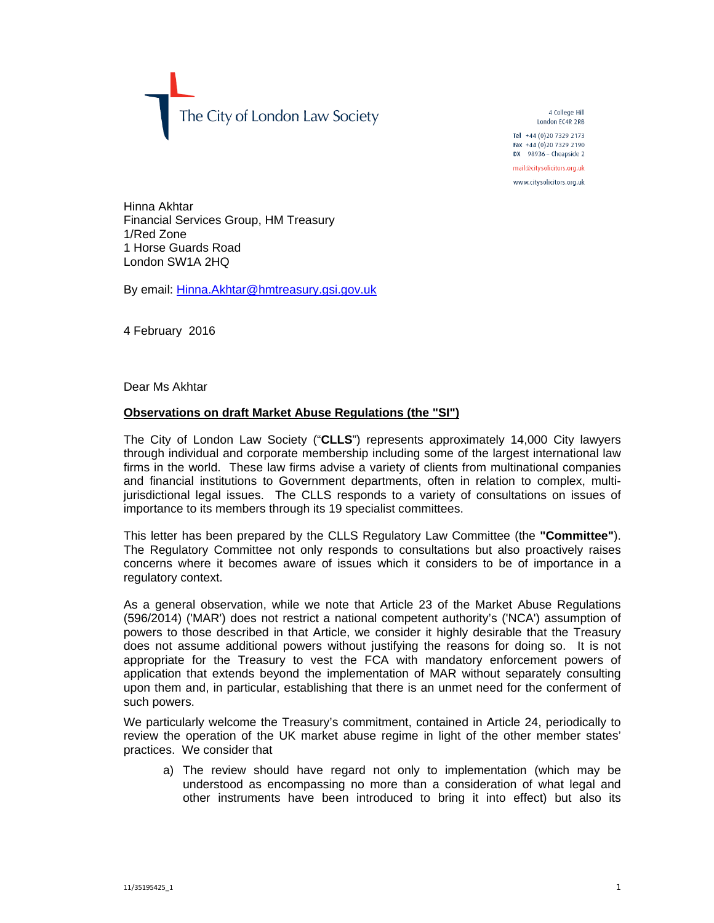The City of London Law Society

4 College Hill London EC4R 2RB Tel +44 (0) 20 7329 2173 Fax +44 (0)20 7329 2190  $DX$  98936 - Cheapside 2 mail@citysolicitors.org.uk

www.citysolicitors.org.uk

Hinna Akhtar Financial Services Group, HM Treasury 1/Red Zone 1 Horse Guards Road London SW1A 2HQ

By email: Hinna.Akhtar@hmtreasury.gsi.gov.uk

4 February 2016

Dear Ms Akhtar

## **Observations on draft Market Abuse Regulations (the "SI")**

The City of London Law Society ("**CLLS**") represents approximately 14,000 City lawyers through individual and corporate membership including some of the largest international law firms in the world. These law firms advise a variety of clients from multinational companies and financial institutions to Government departments, often in relation to complex, multijurisdictional legal issues. The CLLS responds to a variety of consultations on issues of importance to its members through its 19 specialist committees.

This letter has been prepared by the CLLS Regulatory Law Committee (the **"Committee"**). The Regulatory Committee not only responds to consultations but also proactively raises concerns where it becomes aware of issues which it considers to be of importance in a regulatory context.

As a general observation, while we note that Article 23 of the Market Abuse Regulations (596/2014) ('MAR') does not restrict a national competent authority's ('NCA') assumption of powers to those described in that Article, we consider it highly desirable that the Treasury does not assume additional powers without justifying the reasons for doing so. It is not appropriate for the Treasury to vest the FCA with mandatory enforcement powers of application that extends beyond the implementation of MAR without separately consulting upon them and, in particular, establishing that there is an unmet need for the conferment of such powers.

We particularly welcome the Treasury's commitment, contained in Article 24, periodically to review the operation of the UK market abuse regime in light of the other member states' practices. We consider that

a) The review should have regard not only to implementation (which may be understood as encompassing no more than a consideration of what legal and other instruments have been introduced to bring it into effect) but also its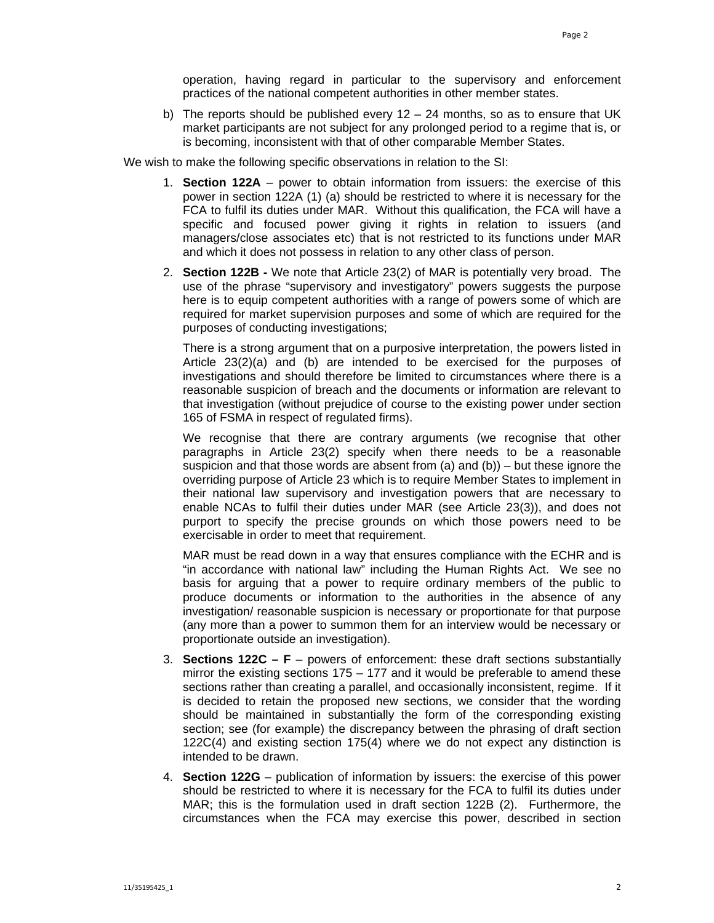operation, having regard in particular to the supervisory and enforcement practices of the national competent authorities in other member states.

b) The reports should be published every  $12 - 24$  months, so as to ensure that UK market participants are not subject for any prolonged period to a regime that is, or is becoming, inconsistent with that of other comparable Member States.

We wish to make the following specific observations in relation to the SI:

- 1. **Section 122A** power to obtain information from issuers: the exercise of this power in section 122A (1) (a) should be restricted to where it is necessary for the FCA to fulfil its duties under MAR. Without this qualification, the FCA will have a specific and focused power giving it rights in relation to issuers (and managers/close associates etc) that is not restricted to its functions under MAR and which it does not possess in relation to any other class of person.
- 2. **Section 122B -** We note that Article 23(2) of MAR is potentially very broad. The use of the phrase "supervisory and investigatory" powers suggests the purpose here is to equip competent authorities with a range of powers some of which are required for market supervision purposes and some of which are required for the purposes of conducting investigations;

There is a strong argument that on a purposive interpretation, the powers listed in Article 23(2)(a) and (b) are intended to be exercised for the purposes of investigations and should therefore be limited to circumstances where there is a reasonable suspicion of breach and the documents or information are relevant to that investigation (without prejudice of course to the existing power under section 165 of FSMA in respect of regulated firms).

We recognise that there are contrary arguments (we recognise that other paragraphs in Article 23(2) specify when there needs to be a reasonable suspicion and that those words are absent from (a) and  $(b)$ ) – but these ignore the overriding purpose of Article 23 which is to require Member States to implement in their national law supervisory and investigation powers that are necessary to enable NCAs to fulfil their duties under MAR (see Article 23(3)), and does not purport to specify the precise grounds on which those powers need to be exercisable in order to meet that requirement.

MAR must be read down in a way that ensures compliance with the ECHR and is "in accordance with national law" including the Human Rights Act. We see no basis for arguing that a power to require ordinary members of the public to produce documents or information to the authorities in the absence of any investigation/ reasonable suspicion is necessary or proportionate for that purpose (any more than a power to summon them for an interview would be necessary or proportionate outside an investigation).

- 3. **Sections 122C F**  powers of enforcement: these draft sections substantially mirror the existing sections  $175 - 177$  and it would be preferable to amend these sections rather than creating a parallel, and occasionally inconsistent, regime. If it is decided to retain the proposed new sections, we consider that the wording should be maintained in substantially the form of the corresponding existing section; see (for example) the discrepancy between the phrasing of draft section 122C(4) and existing section 175(4) where we do not expect any distinction is intended to be drawn.
- 4. **Section 122G** publication of information by issuers: the exercise of this power should be restricted to where it is necessary for the FCA to fulfil its duties under MAR; this is the formulation used in draft section 122B (2). Furthermore, the circumstances when the FCA may exercise this power, described in section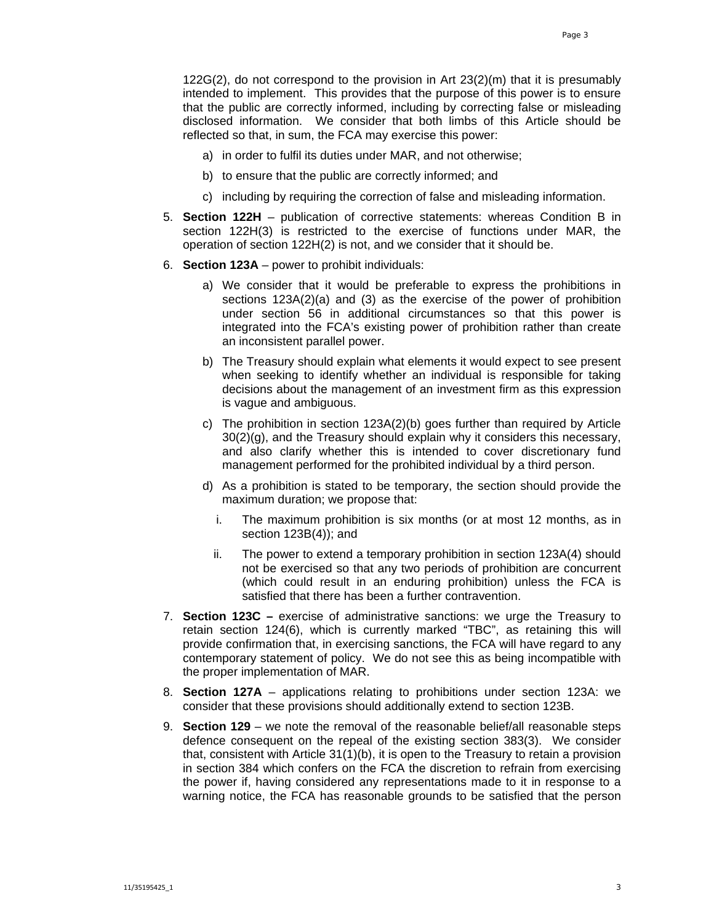122G(2), do not correspond to the provision in Art 23(2)(m) that it is presumably intended to implement. This provides that the purpose of this power is to ensure that the public are correctly informed, including by correcting false or misleading disclosed information. We consider that both limbs of this Article should be reflected so that, in sum, the FCA may exercise this power:

- a) in order to fulfil its duties under MAR, and not otherwise;
- b) to ensure that the public are correctly informed; and
- c) including by requiring the correction of false and misleading information.
- 5. **Section 122H** publication of corrective statements: whereas Condition B in section 122H(3) is restricted to the exercise of functions under MAR, the operation of section 122H(2) is not, and we consider that it should be.
- 6. **Section 123A** power to prohibit individuals:
	- a) We consider that it would be preferable to express the prohibitions in sections 123A(2)(a) and (3) as the exercise of the power of prohibition under section 56 in additional circumstances so that this power is integrated into the FCA's existing power of prohibition rather than create an inconsistent parallel power.
	- b) The Treasury should explain what elements it would expect to see present when seeking to identify whether an individual is responsible for taking decisions about the management of an investment firm as this expression is vague and ambiguous.
	- c) The prohibition in section 123A(2)(b) goes further than required by Article 30(2)(a), and the Treasury should explain why it considers this necessary, and also clarify whether this is intended to cover discretionary fund management performed for the prohibited individual by a third person.
	- d) As a prohibition is stated to be temporary, the section should provide the maximum duration; we propose that:
		- i. The maximum prohibition is six months (or at most 12 months, as in section 123B(4)); and
		- ii. The power to extend a temporary prohibition in section 123A(4) should not be exercised so that any two periods of prohibition are concurrent (which could result in an enduring prohibition) unless the FCA is satisfied that there has been a further contravention.
- 7. **Section 123C** exercise of administrative sanctions: we urge the Treasury to retain section 124(6), which is currently marked "TBC", as retaining this will provide confirmation that, in exercising sanctions, the FCA will have regard to any contemporary statement of policy. We do not see this as being incompatible with the proper implementation of MAR.
- 8. **Section 127A**  applications relating to prohibitions under section 123A: we consider that these provisions should additionally extend to section 123B.
- 9. **Section 129**  we note the removal of the reasonable belief/all reasonable steps defence consequent on the repeal of the existing section 383(3). We consider that, consistent with Article 31(1)(b), it is open to the Treasury to retain a provision in section 384 which confers on the FCA the discretion to refrain from exercising the power if, having considered any representations made to it in response to a warning notice, the FCA has reasonable grounds to be satisfied that the person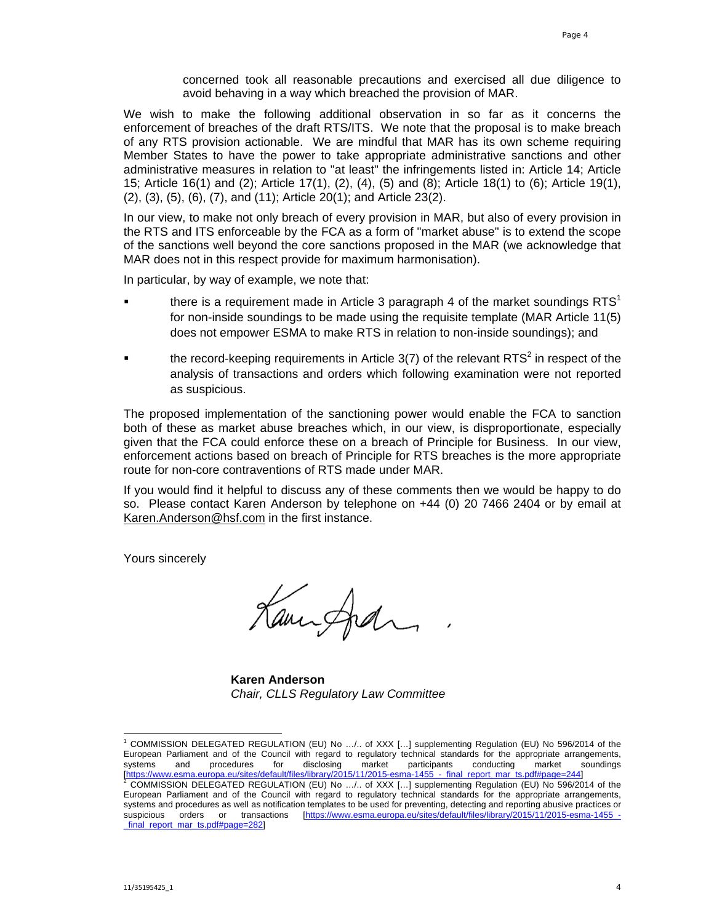concerned took all reasonable precautions and exercised all due diligence to avoid behaving in a way which breached the provision of MAR.

We wish to make the following additional observation in so far as it concerns the enforcement of breaches of the draft RTS/ITS. We note that the proposal is to make breach of any RTS provision actionable. We are mindful that MAR has its own scheme requiring Member States to have the power to take appropriate administrative sanctions and other administrative measures in relation to "at least" the infringements listed in: Article 14; Article 15; Article 16(1) and (2); Article 17(1), (2), (4), (5) and (8); Article 18(1) to (6); Article 19(1), (2), (3), (5), (6), (7), and (11); Article 20(1); and Article 23(2).

In our view, to make not only breach of every provision in MAR, but also of every provision in the RTS and ITS enforceable by the FCA as a form of "market abuse" is to extend the scope of the sanctions well beyond the core sanctions proposed in the MAR (we acknowledge that MAR does not in this respect provide for maximum harmonisation).

In particular, by way of example, we note that:

- there is a requirement made in Article 3 paragraph 4 of the market soundings  $RTS<sup>1</sup>$ for non-inside soundings to be made using the requisite template (MAR Article 11(5) does not empower ESMA to make RTS in relation to non-inside soundings); and
- $\blacksquare$  the record-keeping requirements in Article 3(7) of the relevant RTS<sup>2</sup> in respect of the analysis of transactions and orders which following examination were not reported as suspicious.

The proposed implementation of the sanctioning power would enable the FCA to sanction both of these as market abuse breaches which, in our view, is disproportionate, especially given that the FCA could enforce these on a breach of Principle for Business. In our view, enforcement actions based on breach of Principle for RTS breaches is the more appropriate route for non-core contraventions of RTS made under MAR.

If you would find it helpful to discuss any of these comments then we would be happy to do so. Please contact Karen Anderson by telephone on +44 (0) 20 7466 2404 or by email at Karen.Anderson@hsf.com in the first instance.

Yours sincerely

Kaminghan

**Karen Anderson**  *Chair, CLLS Regulatory Law Committee*

 1 COMMISSION DELEGATED REGULATION (EU) No …/.. of XXX […] supplementing Regulation (EU) No 596/2014 of the European Parliament and of the Council with regard to regulatory technical standards for the appropriate arrangements, systems and procedures for disclosing market participants conducting market soundings systems and procedures for disclosing market participants conducting market soundings<br>
Inttps://www.esma.europa.eu/sites/default/files/library/2015/11/2015-esma-1455 - final\_report\_mar\_ts.pdf#page=244]<br>
<sup>2</sup> COMMISSION DELE [https://www.esma.europa.eu/sites/default/files/library/2015/11/2015-esma-1455\_-\_final\_report\_mar\_ts.pdf#page=244] 2

COMMISSION DELEGATED REGULATION (EU) No …/.. of XXX […] supplementing Regulation (EU) No 596/2014 of the European Parliament and of the Council with regard to regulatory technical standards for the appropriate arrangements, systems and procedures as well as notification templates to be used for preventing, detecting and reporting abusive practices or suspicious orders or transactions [https://www.esma.europa.eu/sites/default/files/library/2015/11/2015-esma-1455\_final\_report\_mar\_ts.pdf#page=282]